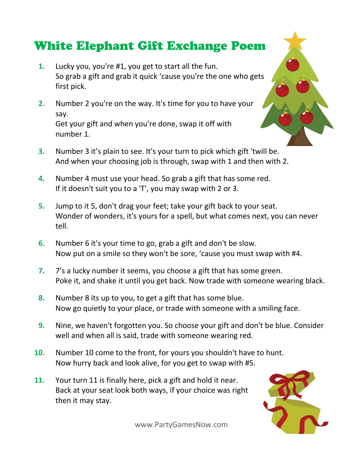## **White Elephant Gift Exchange Poem**

- **1.** Lucky you, you're #1, you get to start all the fun. So grab a gift and grab it quick 'cause you're the one who gets first pick.
- **2.** Number 2 you're on the way. It's time for you to have your say. Get your gift and when you're done, swap it off with number 1.
- **3.** Number 3 it's plain to see. It's your turn to pick which gift 'twill be. And when your choosing job is through, swap with 1 and then with 2.
- **4.** Number 4 must use your head. So grab a gift that has some red. If it doesn't suit you to a 'T', you may swap with 2 or 3.
- **5.** Jump to it 5, don't drag your feet; take your gift back to your seat. Wonder of wonders, it's yours for a spell, but what comes next, you can never tell.
- **6.** Number 6 it's your time to go, grab a gift and don't be slow. Now put on a smile so they won't be sore, 'cause you must swap with #4.
- **7.** 7's a lucky number it seems, you choose a gift that has some green. Poke it, and shake it until you get back. Now trade with someone wearing black.
- **8.** Number 8 its up to you, to get a gift that has some blue. Now go quietly to your place, or trade with someone with a smiling face.
- **9.** Nine, we haven't forgotten you. So choose your gift and don't be blue. Consider well and when all is said, trade with someone wearing red.
- **10.** Number 10 come to the front, for yours you shouldn't have to hunt. Now hurry back and look alive, for you get to swap with #5.
- **11.** Your turn 11 is finally here, pick a gift and hold it near. Back at your seat look both ways, if your choice was right then it may stay.

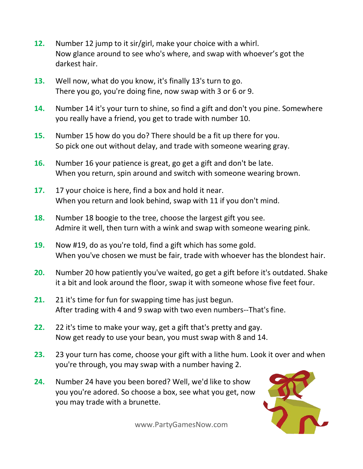- **12.** Number 12 jump to it sir/girl, make your choice with a whirl. Now glance around to see who's where, and swap with whoever's got the darkest hair.
- **13.** Well now, what do you know, it's finally 13's turn to go. There you go, you're doing fine, now swap with 3 or 6 or 9.
- **14.** Number 14 it's your turn to shine, so find a gift and don't you pine. Somewhere you really have a friend, you get to trade with number 10.
- **15.** Number 15 how do you do? There should be a fit up there for you. So pick one out without delay, and trade with someone wearing gray.
- **16.** Number 16 your patience is great, go get a gift and don't be late. When you return, spin around and switch with someone wearing brown.
- **17.** 17 your choice is here, find a box and hold it near. When you return and look behind, swap with 11 if you don't mind.
- **18.** Number 18 boogie to the tree, choose the largest gift you see. Admire it well, then turn with a wink and swap with someone wearing pink.
- **19.** Now #19, do as you're told, find a gift which has some gold. When you've chosen we must be fair, trade with whoever has the blondest hair.
- **20.** Number 20 how patiently you've waited, go get a gift before it's outdated. Shake it a bit and look around the floor, swap it with someone whose five feet four.
- **21.** 21 it's time for fun for swapping time has just begun. After trading with 4 and 9 swap with two even numbers--That's fine.
- **22.** 22 it's time to make your way, get a gift that's pretty and gay. Now get ready to use your bean, you must swap with 8 and 14.
- **23.** 23 your turn has come, choose your gift with a lithe hum. Look it over and when you're through, you may swap with a number having 2.
- **24.** Number 24 have you been bored? Well, we'd like to show you you're adored. So choose a box, see what you get, now you may trade with a brunette.

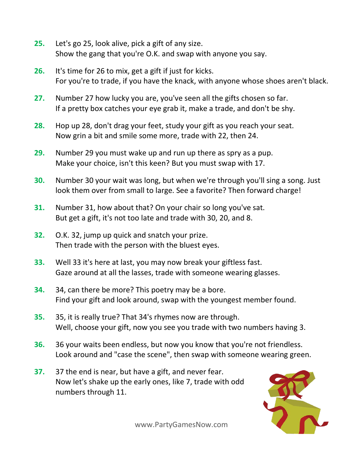- **25.** Let's go 25, look alive, pick a gift of any size. Show the gang that you're O.K. and swap with anyone you say.
- **26.** It's time for 26 to mix, get a gift if just for kicks. For you're to trade, if you have the knack, with anyone whose shoes aren't black.
- **27.** Number 27 how lucky you are, you've seen all the gifts chosen so far. If a pretty box catches your eye grab it, make a trade, and don't be shy.
- **28.** Hop up 28, don't drag your feet, study your gift as you reach your seat. Now grin a bit and smile some more, trade with 22, then 24.
- **29.** Number 29 you must wake up and run up there as spry as a pup. Make your choice, isn't this keen? But you must swap with 17.
- **30.** Number 30 your wait was long, but when we're through you'll sing a song. Just look them over from small to large. See a favorite? Then forward charge!
- **31.** Number 31, how about that? On your chair so long you've sat. But get a gift, it's not too late and trade with 30, 20, and 8.
- **32.** O.K. 32, jump up quick and snatch your prize. Then trade with the person with the bluest eyes.
- **33.** Well 33 it's here at last, you may now break your giftless fast. Gaze around at all the lasses, trade with someone wearing glasses.
- **34.** 34, can there be more? This poetry may be a bore. Find your gift and look around, swap with the youngest member found.
- **35.** 35, it is really true? That 34's rhymes now are through. Well, choose your gift, now you see you trade with two numbers having 3.
- **36.** 36 your waits been endless, but now you know that you're not friendless. Look around and "case the scene", then swap with someone wearing green.
- **37.** 37 the end is near, but have a gift, and never fear. Now let's shake up the early ones, like 7, trade with odd numbers through 11.